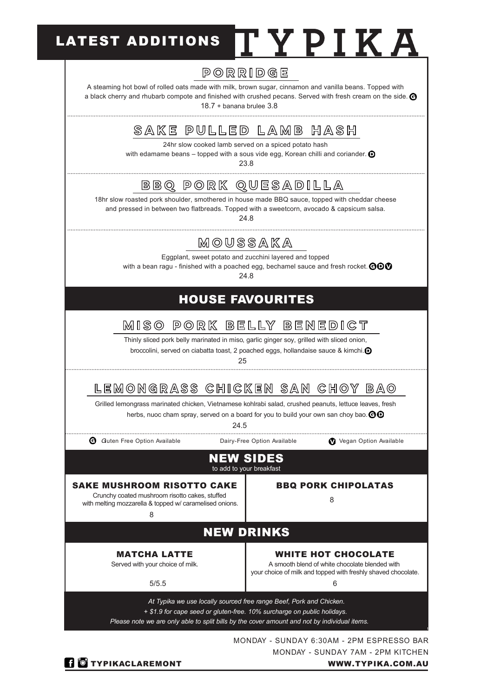## LATEST ADDITIONS IT Y P I K A

## PORRIDGE

A steaming hot bowl of rolled oats made with milk, brown sugar, cinnamon and vanilla beans. Topped with a black cherry and rhubarb compote and finished with crushed pecans. Served with fresh cream on the side. **@** 

18.7 + banana brulee 3.8

## SAKE PULLED LAMB HASH

24hr slow cooked lamb served on a spiced potato hash

with edamame beans – topped with a sous vide egg, Korean chilli and coriander.  $\bigcirc$ 

23.8

BBQ PORK QUESADILLA

18hr slow roasted pork shoulder, smothered in house made BBQ sauce, topped with cheddar cheese and pressed in between two flatbreads. Topped with a sweetcorn, avocado & capsicum salsa.

24.8

## MOUSSAKA

Eggplant, sweet potato and zucchini layered and topped

with a bean ragu - finished with a poached egg, bechamel sauce and fresh rocket.  $\Theta \bullet \Phi$ 

24.8

## HOUSE FAVOURITES

## MISO PORK BELLY BENEDICT

Thinly sliced pork belly marinated in miso, garlic ginger soy, grilled with sliced onion,

broccolini, served on ciabatta toast, 2 poached eggs, hollandaise sauce & kimchi.  $\bullet$ 

25

## LEMONGRASS CHICKEN SAN CHOY BAO

Grilled lemongrass marinated chicken, Vietnamese kohlrabi salad, crushed peanuts, lettuce leaves, fresh herbs, nuoc cham spray, served on a board for you to build your own san choy bao.  $\Theta\Theta$ 

24.5

**G** Guten Free Option Available Dairy-Free Option Available **V** Vegan Option Available

#### NEW SIDES to add to your breakfast

### SAKE MUSHROOM RISOTTO CAKE BBQ PORK CHIPOLATAS

8 Crunchy coated mushroom risotto cakes, stuffed with melting mozzarella & topped w/ caramelised onions.

8

## NEW DRINKS

#### MATCHA LATTE

Served with your choice of milk.

#### WHITE HOT CHOCOLATE

5/5.5

A smooth blend of white chocolate blended with

6 your choice of milk and topped with freshly shaved chocolate.

*At Typika we use locally sourced free range Beef, Pork and Chicken. + \$1.9 for cape seed or gluten-free. 10% surcharge on public holidays.* 

*Please note we are only able to split bills by the cover amount and not by individual items.* 

MONDAY - SUNDAY 6:30AM - 2PM ESPRESSO BAR MONDAY - SUNDAY 7AM - 2PM KITCHEN

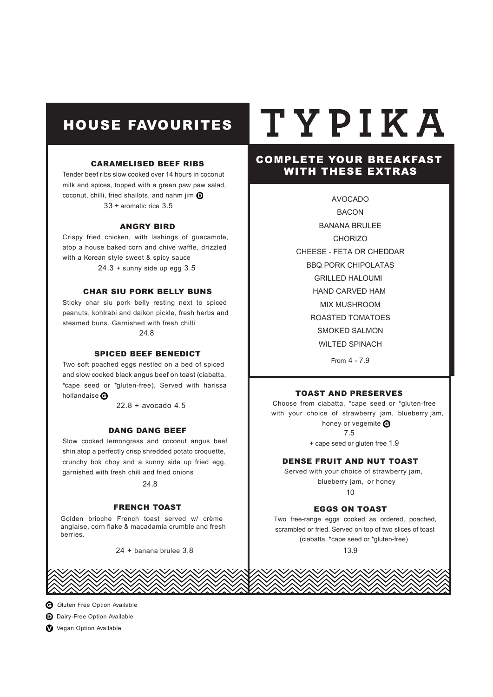## HOUSE FAVOURITES

#### CARAMELISED BEEF RIBS

Tender beef ribs slow cooked over 14 hours in coconut milk and spices, topped with a green paw paw salad, coconut, chilli, fried shallots, and nahm jim  $\mathbf \Theta$ 33 + aromatic rice 3.5

#### ANGRY BIRD

Crispy fried chicken, with lashings of guacamole, atop a house baked corn and chive waffle, drizzled with a Korean style sweet & spicy sauce  $24.3 +$  sunny side up egg  $3.5$ 

#### CHAR SIU PORK BELLY BUNS

Sticky char siu pork belly resting next to spiced peanuts, kohlrabi and daikon pickle, fresh herbs and steamed buns. Garnished with fresh chilli 24.8

#### SPICED BEEF BENEDICT

Two soft poached eggs nestled on a bed of spiced and slow cooked black angus beef on toast (ciabatta, \*cape seed or \*gluten-free). Served with harissa hollandaise<sup>O</sup>

22.8 + avocado 4.5

#### DANG DANG BEEF

Slow cooked lemongrass and coconut angus beef shin atop a perfectly crisp shredded potato croquette, crunchy bok choy and a sunny side up fried egg, garnished with fresh chili and fried onions

24.8

#### FRENCH TOAST

Golden brioche French toast served w/ crème anglaise, corn flake & macadamia crumble and fresh berries.

24 + banana brulee 3.8

# TYPIKA

#### COMPLETE YOUR BREAKFAST WITH THESE EXTRAS

AVOCADO BACON BANANA BRULEE **CHORIZO** CHEESE - FETA OR CHEDDAR GRILLED HALOUMI HAND CARVED HAM MIX MUSHROOM BBQ PORK CHIPOLATAS ROASTED TOMATOES SMOKED SALMON WILTED SPINACH From 4 - 7.9

#### TOAST AND PRESERVES

Choose from ciabatta, \*cape seed or \*gluten-free with your choice of strawberry jam, blueberry jam, honey or vegemite  $\Theta$ 7.5 + cape seed or gluten free 1.9

#### DENSE FRUIT AND NUT TOAST

Served with your choice of strawberry jam, blueberry jam, or honey

10

#### EGGS ON TOAST

Two free-range eggs cooked as ordered, poached, scrambled or fried. Served on top of two slices of toast (ciabatta, \*cape seed or \*gluten-free) 13.9



**D** Dairy-Free Option Available

Vegan Option Available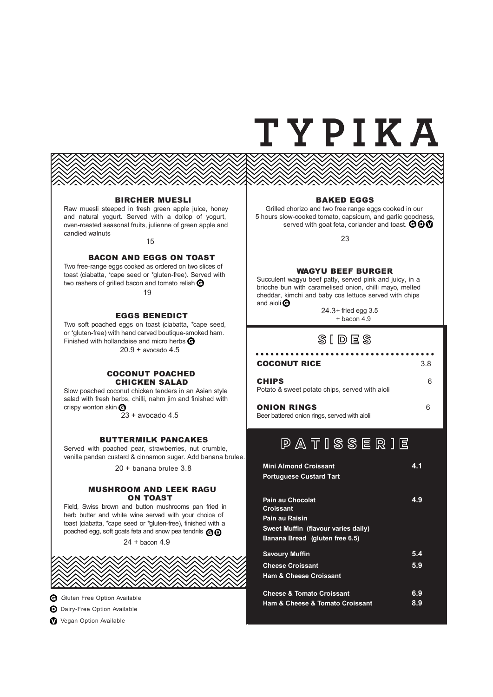## TYPIKA

#### BIRCHER MUESLI

Raw muesli steeped in fresh green apple juice, honey and natural yogurt. Served with a dollop of yogurt, oven-roasted seasonal fruits, julienne of green apple and candied walnuts

15

#### BACON AND EGGS ON TOAST

Two free-range eggs cooked as ordered on two slices of toast (ciabatta, \*cape seed or \*gluten-free). Served with two rashers of grilled bacon and tomato relish  $\Theta$ 19

#### EGGS BENEDICT

Two soft poached eggs on toast (ciabatta, \*cape seed, or \*gluten-free) with hand carved boutique-smoked ham. Finished with hollandaise and micro herbs  $\Theta$ 20.9 + avocado 4.5

#### COCONUT POACHED CHICKEN SALAD

Slow poached coconut chicken tenders in an Asian style salad with fresh herbs, chilli, nahm jim and finished with crispy wonton skin  $\Theta$ 

 $23 + a$ vocado 4.5

#### BUTTERMILK PANCAKES

Served with poached pear, strawberries, nut crumble, vanilla pandan custard & cinnamon sugar. Add banana brulee.

20 + banana brulee 3.8

#### MUSHROOM AND LEEK RAGU ON TOAST

Field, Swiss brown and button mushrooms pan fried in herb butter and white wine served with your choice of toast (ciabatta, \*cape seed or \*gluten-free), finished with a poached egg, soft goats feta and snow pea tendrils  $\Theta$ 

24 + bacon 4.9



**G** Gluten Free Option Available

**D** Dairy-Free Option Available

**Vegan Option Available** 

#### BAKED EGGS

Grilled chorizo and two free range eggs cooked in our 5 hours slow-cooked tomato, capsicum, and garlic goodness, served with goat feta, coriander and toast. ODO

23

#### WAGYU BEEF BURGER

Succulent wagyu beef patty, served pink and juicy, in a brioche bun with caramelised onion, chilli mayo, melted cheddar, kimchi and baby cos lettuce served with chips and aioli<sup>O</sup>

> 24.3+ fried egg 3.5 + bacon 4.9

### **SIDES**

#### COCONUT RICE 3.8

#### CHIPS 6 Potato & sweet potato chips, served with aioli

**ONION RINGS** 6 Beer battered onion rings, served with aioli

## **PATISSERIE**

| <b>Mini Almond Croissant</b><br><b>Portuguese Custard Tart</b>                         | 4.1        |
|----------------------------------------------------------------------------------------|------------|
| <b>Pain au Chocolat</b><br><b>Croissant</b>                                            | 4.9        |
| Pain au Raisin                                                                         |            |
| Sweet Muffin (flavour varies daily)                                                    |            |
| Banana Bread (gluten free 6.5)                                                         |            |
| <b>Savoury Muffin</b>                                                                  | 5.4        |
| <b>Cheese Croissant</b>                                                                | 5.9        |
| <b>Ham &amp; Cheese Croissant</b>                                                      |            |
| <b>Cheese &amp; Tomato Croissant</b><br><b>Ham &amp; Cheese &amp; Tomato Croissant</b> | 6.9<br>8.9 |